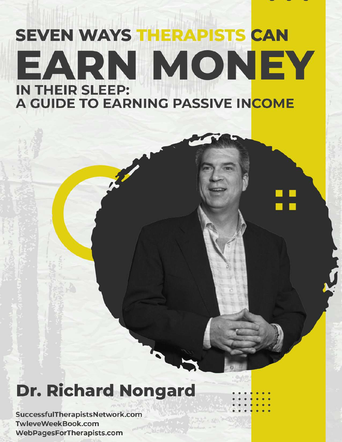# **SEVEN WAYS THERAPISTS CAN** EARN MONEY **IN THEIR SLEEP:** A GUIDE TO EARNING PASSIVE INCOME

## **Dr. Richard Nongard**

SuccessfulTherapistsNetwork.com TwleveWeekBook.com WebPagesForTherapists.com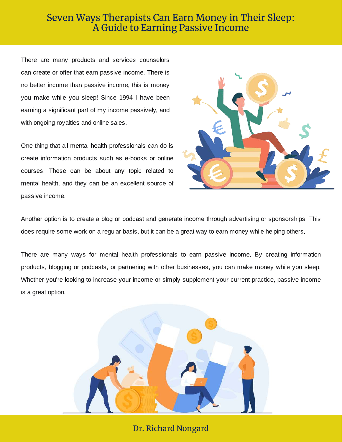There are many products and services counselors can create or offer that earn passive income. There is no better income than passive income, this is money you make while you sleep! Since 1994 I have been earning a significant part of my income passively, and with ongoing royalties and online sales.

One thing that all mental health professionals can do is create information products such as e-books or online courses. These can be about any topic related to mental health, and they can be an excellent source of passive income.



Another option is to create a blog or podcast and generate income through advertising or sponsorships. This does require some work on a regular basis, but it can be a great way to earn money while helping others.

There are many ways for mental health professionals to earn passive income. By creating information products, blogging or podcasts, or partnering with other businesses, you can make money while you sleep. Whether you're looking to increase your income or simply supplement your current practice, passive income is a great option.



Dr. Richard Nongard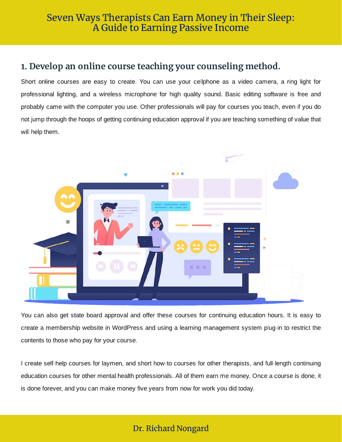## **1. Develop an online course teaching your counseling method.**

Short online courses are easy to create. You can use your cellphone as a video camera, a ring light for professional lighting, and a wireless microphone for high quality sound. Basic editing software is free and probably came with the computer you use. Other professionals will pay for courses you teach, even if you do not jump through the hoops of getting continuing education approval if you are teaching something of value that will help them.



You can also get state board approval and offer these courses for continuing education hours. It is easy to create a membership website in WordPress and using a learning management system plug-in to restrict the contents to those who pay for your course.

I create self-help courses for laymen, and short how-to courses for other therapists, and full-length continuing education courses for other mental health professionals. All of them earn me money. Once a course is done, it is done forever, and you can make money five years from now for work you did today.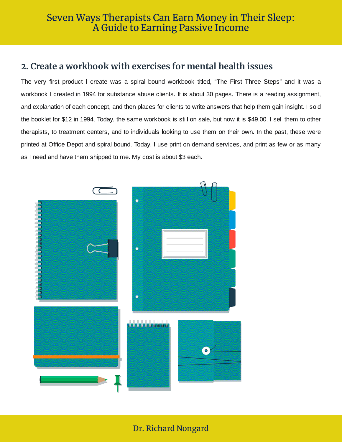## **2. Create a workbook with exercises for mental health issues**

The very first product I create was a spiral bound workbook titled, "The First Three Steps" and it was a workbook I created in 1994 for substance abuse clients. It is about 30 pages. There is a reading assignment, and explanation of each concept, and then places for clients to write answers that help them gain insight. I sold the booklet for \$12 in 1994. Today, the same workbook is still on sale, but now it is \$49.00. I sell them to other therapists, to treatment centers, and to individuals looking to use them on their own. In the past, these were printed at Office Depot and spiral bound. Today, I use print on demand services, and print as few or as many as I need and have them shipped to me. My cost is about \$3 each.

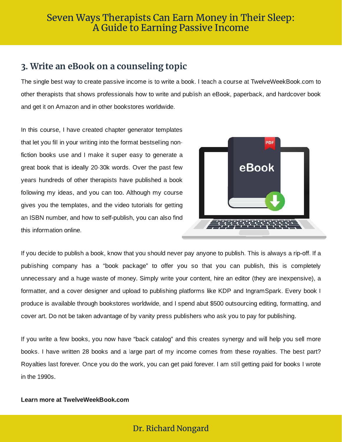## **3. Write an eBook on a counseling topic**

The single best way to create passive income is to write a book. I teach a course at TwelveWeekBook.com to other therapists that shows professionals how to write and publish an eBook, paperback, and hardcover book and get it on Amazon and in other bookstores worldwide.

In this course, I have created chapter generator templates that let you fill in your writing into the format bestselling nonfiction books use and I make it super easy to generate a great book that is ideally 20-30k words. Over the past few years hundreds of other therapists have published a book following my ideas, and you can too. Although my course gives you the templates, and the video tutorials for getting an ISBN number, and how to self-publish, you can also find this information online.



If you decide to publish a book, know that you should never pay anyone to publish. This is always a rip-off. If a publishing company has a "book package" to offer you so that you can publish, this is completely unnecessary and a huge waste of money. Simply write your content, hire an editor (they are inexpensive), a formatter, and a cover designer and upload to publishing platforms like KDP and IngramSpark. Every book I produce is available through bookstores worldwide, and I spend abut \$500 outsourcing editing, formatting, and cover art. Do not be taken advantage of by vanity press publishers who ask you to pay for publishing.

If you write a few books, you now have "back catalog" and this creates synergy and will help you sell more books. I have written 28 books and a large part of my income comes from these royalties. The best part? Royalties last forever. Once you do the work, you can get paid forever. I am still getting paid for books I wrote in the 1990s.

#### Learn more at TwelveWeekBook.com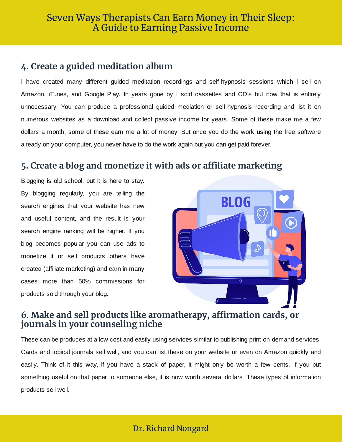## **4. Create a guided meditation album**

I have created many different guided meditation recordings and self-hypnosis sessions which I sell on Amazon, iTunes, and Google Play. In years gone by I sold cassettes and CD's but now that is entirely unnecessary. You can produce a professional guided mediation or self-hypnosis recording and list it on numerous websites as a download and collect passive income for years. Some of these make me a few dollars a month, some of these earn me a lot of money. But once you do the work using the free software already on your computer, you never have to do the work again but you can get paid forever.

## **5. Create a blog and monetize it with ads or affiliate marketing**

Blogging is old school, but it is here to stay. By blogging regularly, you are telling the search engines that your website has new and useful content, and the result is your search engine ranking will be higher. If you blog becomes popular you can use ads to monetize it or sell products others have created (affiliate marketing) and earn in many cases more than 50% commissions for products sold through your blog.



## **6. Make and sell products like aromatherapy, affirmation cards, or journals in your counseling niche**

These can be produces at a low cost and easily using services similar to publishing print-on-demand services. Cards and topical journals sell well, and you can list these on your website or even on Amazon quickly and easily. Think of it this way, if you have a stack of paper, it might only be worth a few cents. If you put something useful on that paper to someone else, it is now worth several dollars. These types of information products sell well.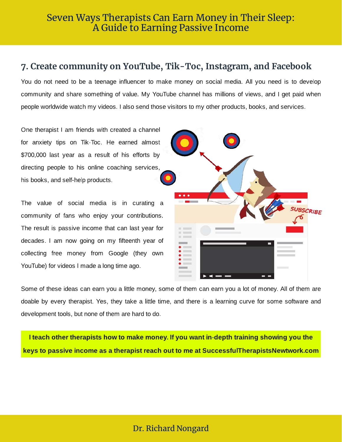### **7. Create community on YouTube, Tik-Toc, Instagram, and Facebook**

You do not need to be a teenage influencer to make money on social media. All you need is to develop community and share something of value. My YouTube channel has millions of views, and I get paid when people worldwide watch my videos. I also send those visitors to my other products, books, and services.

One therapist I am friends with created a channel for anxiety tips on Tik-Toc. He earned almost \$700,000 last year as a result of his efforts by directing people to his online coaching services, his books, and self-help products.

The value of social media is in curating a community of fans who enjoy your contributions. The result is passive income that can last year for decades. I am now going on my fifteenth year of collecting free money from Google (they own YouTube) for videos I made a long time ago.



Some of these ideas can earn you a little money, some of them can earn you a lot of money. All of them are doable by every therapist. Yes, they take a little time, and there is a learning curve for some software and development tools, but none of them are hard to do.

I teach other therapists how to make money. If you want in-depth training showing you the keys to passive income as a therapist reach out to me at SuccessfulTherapistsNewtwork.com